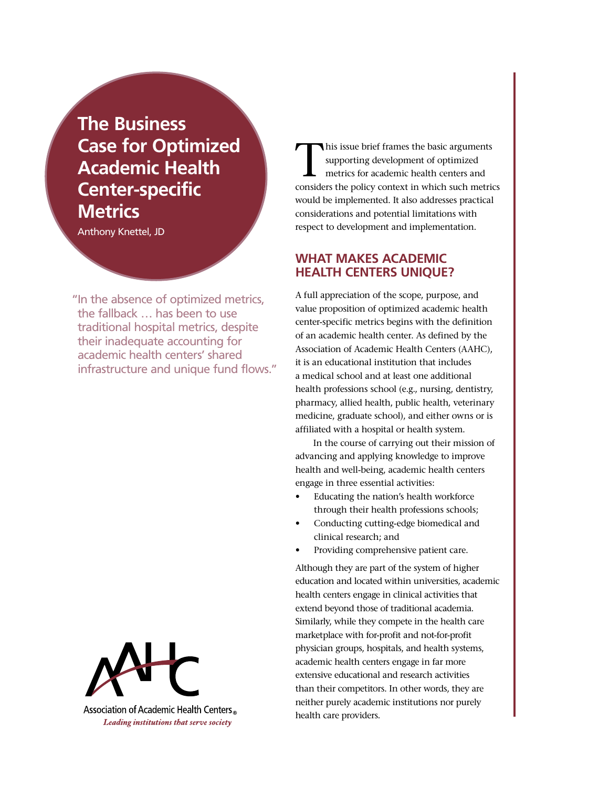**The Business Case for Optimized Academic Health Center-specific Metrics**

Anthony Knettel, JD

"In the absence of optimized metrics, the fallback … has been to use traditional hospital metrics, despite their inadequate accounting for academic health centers' shared infrastructure and unique fund flows."



Association of Academic Health Centers Leading institutions that serve society

his issue brief frames the basic arguments supporting development of optimized metrics for academic health centers and considers the policy context in which such metrics would be implemented. It also addresses practical considerations and potential limitations with respect to development and implementation.

# **What Makes Academic Health Centers Unique?**

A full appreciation of the scope, purpose, and value proposition of optimized academic health center-specific metrics begins with the definition of an academic health center. As defined by the Association of Academic Health Centers (AAHC), it is an educational institution that includes a medical school and at least one additional health professions school (e.g., nursing, dentistry, pharmacy, allied health, public health, veterinary medicine, graduate school), and either owns or is affiliated with a hospital or health system.

In the course of carrying out their mission of advancing and applying knowledge to improve health and well-being, academic health centers engage in three essential activities:

- Educating the nation's health workforce through their health professions schools;
- Conducting cutting-edge biomedical and clinical research; and
- Providing comprehensive patient care.

Although they are part of the system of higher education and located within universities, academic health centers engage in clinical activities that extend beyond those of traditional academia. Similarly, while they compete in the health care marketplace with for-profit and not-for-profit physician groups, hospitals, and health systems, academic health centers engage in far more extensive educational and research activities than their competitors. In other words, they are neither purely academic institutions nor purely health care providers.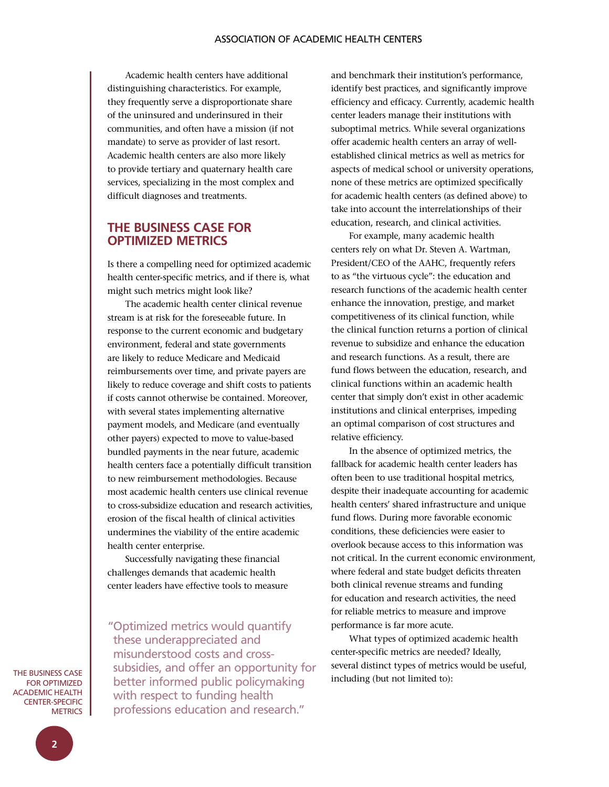Academic health centers have additional distinguishing characteristics. For example, they frequently serve a disproportionate share of the uninsured and underinsured in their communities, and often have a mission (if not mandate) to serve as provider of last resort. Academic health centers are also more likely to provide tertiary and quaternary health care services, specializing in the most complex and difficult diagnoses and treatments.

## **The Business Case for OPTIMIZED METRICS**

Is there a compelling need for optimized academic health center-specific metrics, and if there is, what might such metrics might look like?

The academic health center clinical revenue stream is at risk for the foreseeable future. In response to the current economic and budgetary environment, federal and state governments are likely to reduce Medicare and Medicaid reimbursements over time, and private payers are likely to reduce coverage and shift costs to patients if costs cannot otherwise be contained. Moreover, with several states implementing alternative payment models, and Medicare (and eventually other payers) expected to move to value-based bundled payments in the near future, academic health centers face a potentially difficult transition to new reimbursement methodologies. Because most academic health centers use clinical revenue to cross-subsidize education and research activities, erosion of the fiscal health of clinical activities undermines the viability of the entire academic health center enterprise.

Successfully navigating these financial challenges demands that academic health center leaders have effective tools to measure

" Optimized metrics would quantify these underappreciated and misunderstood costs and crosssubsidies, and offer an opportunity for better informed public policymaking with respect to funding health professions education and research."

and benchmark their institution's performance, identify best practices, and significantly improve efficiency and efficacy. Currently, academic health center leaders manage their institutions with suboptimal metrics. While several organizations offer academic health centers an array of wellestablished clinical metrics as well as metrics for aspects of medical school or university operations, none of these metrics are optimized specifically for academic health centers (as defined above) to take into account the interrelationships of their education, research, and clinical activities.

For example, many academic health centers rely on what Dr. Steven A. Wartman, President/CEO of the AAHC, frequently refers to as "the virtuous cycle": the education and research functions of the academic health center enhance the innovation, prestige, and market competitiveness of its clinical function, while the clinical function returns a portion of clinical revenue to subsidize and enhance the education and research functions. As a result, there are fund flows between the education, research, and clinical functions within an academic health center that simply don't exist in other academic institutions and clinical enterprises, impeding an optimal comparison of cost structures and relative efficiency.

In the absence of optimized metrics, the fallback for academic health center leaders has often been to use traditional hospital metrics, despite their inadequate accounting for academic health centers' shared infrastructure and unique fund flows. During more favorable economic conditions, these deficiencies were easier to overlook because access to this information was not critical. In the current economic environment, where federal and state budget deficits threaten both clinical revenue streams and funding for education and research activities, the need for reliable metrics to measure and improve performance is far more acute.

What types of optimized academic health center-specific metrics are needed? Ideally, several distinct types of metrics would be useful, including (but not limited to):

The Business Case **FOR OPTIMIZED** Academic Health CENTER-SPECIFIC **METRICS**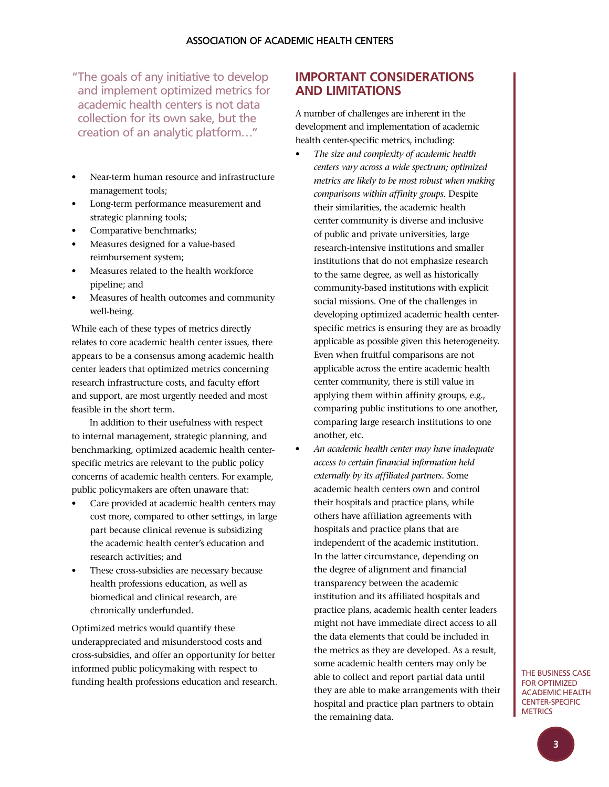" The goals of any initiative to develop and implement optimized metrics for academic health centers is not data collection for its own sake, but the creation of an analytic platform…"

- Near-term human resource and infrastructure management tools;
- Long-term performance measurement and strategic planning tools;
- Comparative benchmarks;
- Measures designed for a value-based reimbursement system;
- Measures related to the health workforce pipeline; and
- Measures of health outcomes and community well-being.

While each of these types of metrics directly relates to core academic health center issues, there appears to be a consensus among academic health center leaders that optimized metrics concerning research infrastructure costs, and faculty effort and support, are most urgently needed and most feasible in the short term.

In addition to their usefulness with respect to internal management, strategic planning, and benchmarking, optimized academic health centerspecific metrics are relevant to the public policy concerns of academic health centers. For example, public policymakers are often unaware that:

- Care provided at academic health centers may cost more, compared to other settings, in large part because clinical revenue is subsidizing the academic health center's education and research activities; and
- These cross-subsidies are necessary because health professions education, as well as biomedical and clinical research, are chronically underfunded.

Optimized metrics would quantify these underappreciated and misunderstood costs and cross-subsidies, and offer an opportunity for better informed public policymaking with respect to funding health professions education and research.

# **Important Considerations and Limitations**

A number of challenges are inherent in the development and implementation of academic health center-specific metrics, including:

- The size and complexity of academic health *centers vary across a wide spectrum; optimized metrics are likely to be most robust when making comparisons within affinity groups.* Despite their similarities, the academic health center community is diverse and inclusive of public and private universities, large research-intensive institutions and smaller institutions that do not emphasize research to the same degree, as well as historically community-based institutions with explicit social missions. One of the challenges in developing optimized academic health centerspecific metrics is ensuring they are as broadly applicable as possible given this heterogeneity. Even when fruitful comparisons are not applicable across the entire academic health center community, there is still value in applying them within affinity groups, e.g., comparing public institutions to one another, comparing large research institutions to one another, etc.
- • *An academic health center may have inadequate access to certain financial information held externally by its affiliated partners. S*ome academic health centers own and control their hospitals and practice plans, while others have affiliation agreements with hospitals and practice plans that are independent of the academic institution. In the latter circumstance, depending on the degree of alignment and financial transparency between the academic institution and its affiliated hospitals and practice plans, academic health center leaders might not have immediate direct access to all the data elements that could be included in the metrics as they are developed. As a result, some academic health centers may only be able to collect and report partial data until they are able to make arrangements with their hospital and practice plan partners to obtain the remaining data.

The Business Case **FOR OPTIMIZED** Academic Health CENTER-SPECIFIC **METRICS**